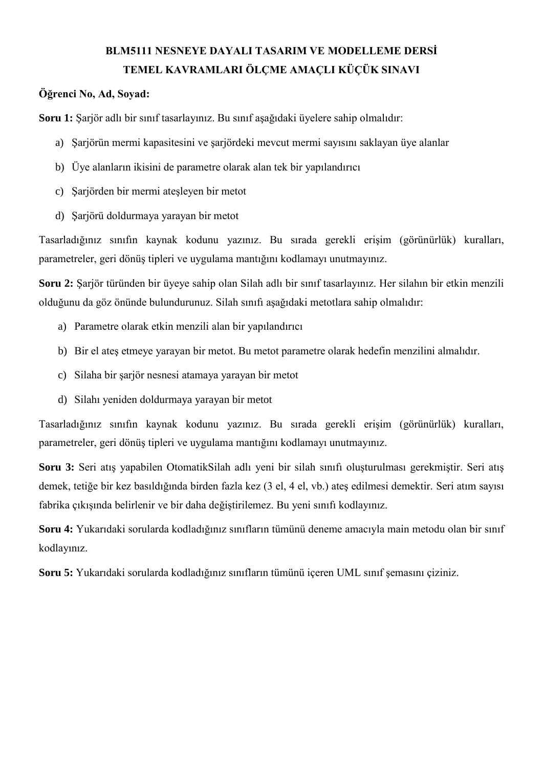# **BLM5111 NESNEYE DAYALI TASARIM VE MODELLEME DERSİ TEMEL KAVRAMLARI ÖLÇME AMAÇLI KÜÇÜK SINAVI**

## **Öğrenci No, Ad, Soyad:**

**Soru 1:** Şarjör adlı bir sınıf tasarlayınız. Bu sınıf aşağıdaki üyelere sahip olmalıdır:

- a) Şarjörün mermi kapasitesini ve şarjördeki mevcut mermi sayısını saklayan üye alanlar
- b) Üye alanların ikisini de parametre olarak alan tek bir yapılandırıcı
- c) Şarjörden bir mermi ateşleyen bir metot
- d) Şarjörü doldurmaya yarayan bir metot

Tasarladığınız sınıfın kaynak kodunu yazınız. Bu sırada gerekli erişim (görünürlük) kuralları, parametreler, geri dönüş tipleri ve uygulama mantığını kodlamayı unutmayınız.

**Soru 2:** Şarjör türünden bir üyeye sahip olan Silah adlı bir sınıf tasarlayınız. Her silahın bir etkin menzili olduğunu da göz önünde bulundurunuz. Silah sınıfı aşağıdaki metotlara sahip olmalıdır:

- a) Parametre olarak etkin menzili alan bir yapılandırıcı
- b) Bir el ateş etmeye yarayan bir metot. Bu metot parametre olarak hedefin menzilini almalıdır.
- c) Silaha bir şarjör nesnesi atamaya yarayan bir metot
- d) Silahı yeniden doldurmaya yarayan bir metot

Tasarladığınız sınıfın kaynak kodunu yazınız. Bu sırada gerekli erişim (görünürlük) kuralları, parametreler, geri dönüş tipleri ve uygulama mantığını kodlamayı unutmayınız.

**Soru 3:** Seri atış yapabilen OtomatikSilah adlı yeni bir silah sınıfı oluşturulması gerekmiştir. Seri atış demek, tetiğe bir kez basıldığında birden fazla kez (3 el, 4 el, vb.) ateş edilmesi demektir. Seri atım sayısı fabrika çıkışında belirlenir ve bir daha değiştirilemez. Bu yeni sınıfı kodlayınız.

**Soru 4:** Yukarıdaki sorularda kodladığınız sınıfların tümünü deneme amacıyla main metodu olan bir sınıf kodlayınız.

**Soru 5:** Yukarıdaki sorularda kodladığınız sınıfların tümünü içeren UML sınıf şemasını çiziniz.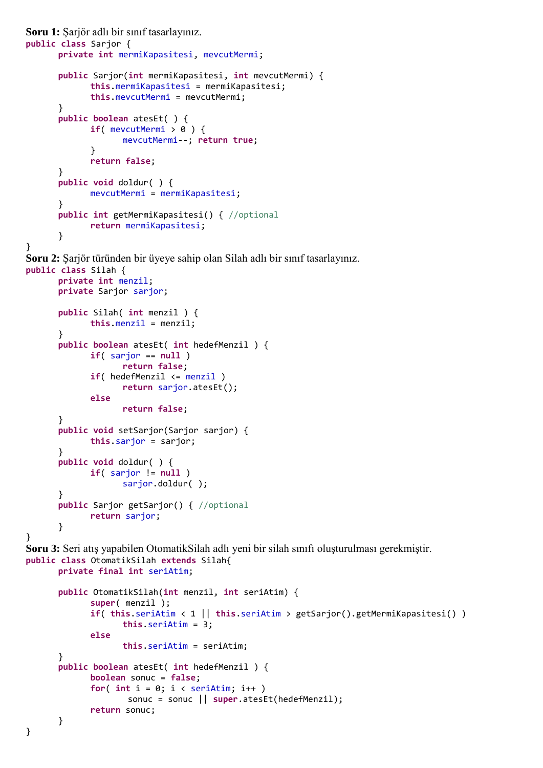```
Soru 1: Şarjör adlı bir sınıf tasarlayınız. 
public class Sarjor {
      private int mermiKapasitesi, mevcutMermi;
      public Sarjor(int mermiKapasitesi, int mevcutMermi) {
             this.mermiKapasitesi = mermiKapasitesi;
             this.mevcutMermi = mevcutMermi;
      }
      public boolean atesEt( ) {
             if( mevcutMermi > 0 ) {
                    mevcutMermi--; return true;
             }
             return false;
      }
      public void doldur( ) {
             mevcutMermi = mermiKapasitesi;
      }
      public int getMermiKapasitesi() { //optional
             return mermiKapasitesi;
      }
}
Soru 2: Şarjör türünden bir üyeye sahip olan Silah adlı bir sınıf tasarlayınız. 
public class Silah {
      private int menzil;
      private Sarjor sarjor;
      public Silah( int menzil ) {
             this.menzil = menzil;
      }
      public boolean atesEt( int hedefMenzil ) {
             if( sarjor == null )
                    return false;
             if( hedefMenzil <= menzil )
                    return sarjor.atesEt();
             else
                    return false;
      }
      public void setSarjor(Sarjor sarjor) {
             this.sarjor = sarjor;
      }
      public void doldur( ) {
             if( sarjor != null )
                    sarjor.doldur( );
      }
      public Sarjor getSarjor() { //optional
             return sarjor;
      }
}
Soru 3: Seri atış yapabilen OtomatikSilah adlı yeni bir silah sınıfı oluşturulması gerekmiştir. 
public class OtomatikSilah extends Silah{
      private final int seriAtim;
      public OtomatikSilah(int menzil, int seriAtim) {
             super( menzil );
             if( this.seriAtim < 1 || this.seriAtim > getSarjor().getMermiKapasitesi() )
                    this.seriAtim = 3;
             else
                    this.seriAtim = seriAtim;
      }
      public boolean atesEt( int hedefMenzil ) {
             boolean sonuc = false;
             for( int i = 0; i < seriAtim; i++ )
                     sonuc = sonuc || super.atesEt(hedefMenzil);
             return sonuc;
      }
}
```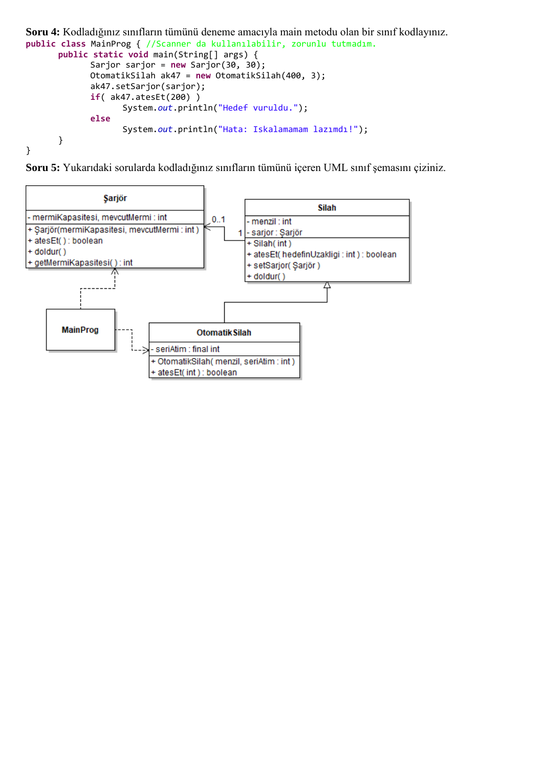```
Soru 4: Kodladığınız sınıfların tümünü deneme amacıyla main metodu olan bir sınıf kodlayınız.
public class MainProg { //Scanner da kullanılabilir, zorunlu tutmadım.
      public static void main(String[] args) {
             Sarjor sarjor = new Sarjor(30, 30);
             OtomatikSilah ak47 = new OtomatikSilah(400, 3);
             ak47.setSarjor(sarjor);
             if( ak47.atesEt(200) )
                   System.out.println("Hedef vuruldu.");
             else
                   System.out.println("Hata: Iskalamamam lazımdı!");
      }
}
```


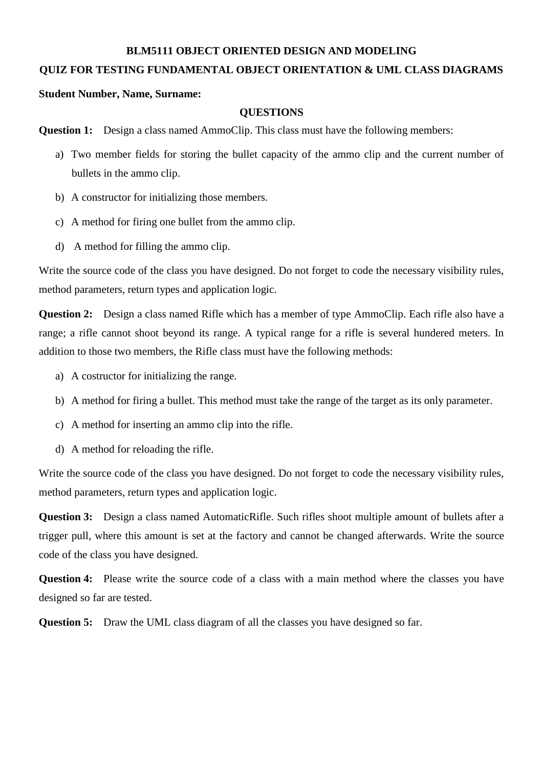### **BLM5111 OBJECT ORIENTED DESIGN AND MODELING**

### **QUIZ FOR TESTING FUNDAMENTAL OBJECT ORIENTATION & UML CLASS DIAGRAMS**

#### **Student Number, Name, Surname:**

#### **QUESTIONS**

**Question 1:** Design a class named AmmoClip. This class must have the following members:

- a) Two member fields for storing the bullet capacity of the ammo clip and the current number of bullets in the ammo clip.
- b) A constructor for initializing those members.
- c) A method for firing one bullet from the ammo clip.
- d) A method for filling the ammo clip.

Write the source code of the class you have designed. Do not forget to code the necessary visibility rules, method parameters, return types and application logic.

**Question 2:** Design a class named Rifle which has a member of type AmmoClip. Each rifle also have a range; a rifle cannot shoot beyond its range. A typical range for a rifle is several hundered meters. In addition to those two members, the Rifle class must have the following methods:

- a) A costructor for initializing the range.
- b) A method for firing a bullet. This method must take the range of the target as its only parameter.
- c) A method for inserting an ammo clip into the rifle.
- d) A method for reloading the rifle.

Write the source code of the class you have designed. Do not forget to code the necessary visibility rules, method parameters, return types and application logic.

**Question 3:** Design a class named AutomaticRifle. Such rifles shoot multiple amount of bullets after a trigger pull, where this amount is set at the factory and cannot be changed afterwards. Write the source code of the class you have designed.

**Question 4:** Please write the source code of a class with a main method where the classes you have designed so far are tested.

**Question 5:** Draw the UML class diagram of all the classes you have designed so far.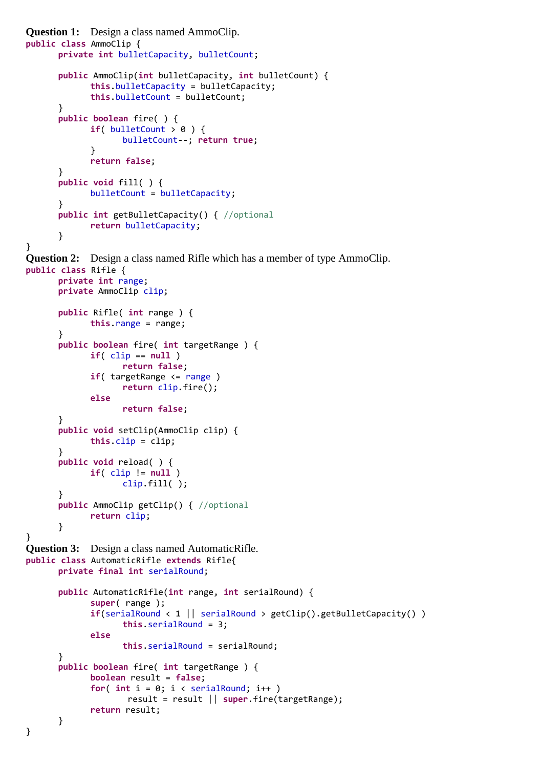```
Question 1: Design a class named AmmoClip. 
public class AmmoClip {
      private int bulletCapacity, bulletCount;
      public AmmoClip(int bulletCapacity, int bulletCount) {
             this.bulletCapacity = bulletCapacity;
             this.bulletCount = bulletCount;
      }
      public boolean fire( ) {
             if( bulletCount > 0 ) {
                   bulletCount--; return true;
             }
             return false;
      }
      public void fill( ) {
             bulletCount = bulletCapacity;
      }
      public int getBulletCapacity() { //optional
             return bulletCapacity;
      }
}
Question 2: Design a class named Rifle which has a member of type AmmoClip. 
public class Rifle {
      private int range;
      private AmmoClip clip;
      public Rifle( int range ) {
             this.range = range;
      }
      public boolean fire( int targetRange ) {
             if( clip == null )
                   return false;
             if( targetRange <= range )
                   return clip.fire();
             else
                   return false;
      }
      public void setClip(AmmoClip clip) {
             this.clip = clip;
      }
      public void reload( ) {
             if( clip != null )
                   clip.fill( );
      }
      public AmmoClip getClip() { //optional
             return clip;
      }
}
Question 3: Design a class named AutomaticRifle. 
public class AutomaticRifle extends Rifle{
      private final int serialRound;
      public AutomaticRifle(int range, int serialRound) {
             super( range );
             if(serialRound < 1 || serialRound > getClip().getBulletCapacity() )
                   this.serialRound = 3;
             else
                   this.serialRound = serialRound;
      }
      public boolean fire( int targetRange ) {
             boolean result = false;
             for( int i = 0; i < serialRound; i++ )
                     result = result || super.fire(targetRange);
             return result;
      }
}
```